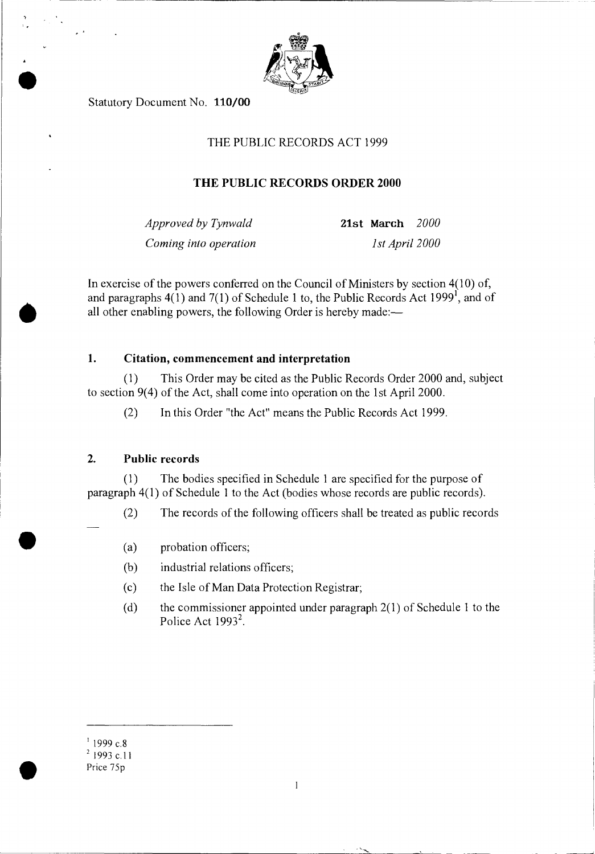

Statutory Document No. 110/00

।<br>●<br>●

•

•

# THE PUBLIC RECORDS ACT 1999

# **THE PUBLIC RECORDS ORDER 2000**

*Approved by Tynwald* **21st March** *2000 Coming into operation 1st April 2000* 

In exercise of the powers conferred on the Council of Ministers by section 4(10) of, and paragraphs  $4(1)$  and  $7(1)$  of Schedule 1 to, the Public Records Act 1999<sup>1</sup>, and of all other enabling powers, the following Order is hereby made:—

# **1. Citation, commencement and interpretation**

(1) This Order may be cited as the Public Records Order 2000 and, subject to section 9(4) of the Act, shall come into operation on the 1st April 2000.

(2) In this Order "the Act" means the Public Records Act 1999.

## **2. Public records**

(1) The bodies specified in Schedule 1 are specified for the purpose of paragraph 4(1) of Schedule 1 to the Act (bodies whose records are public records).

- (2) The records of the following officers shall be treated as public records
	- (a) probation officers;
	- (b) industrial relations officers;
	- (c) the Isle of Man Data Protection Registrar;
	- (d) the commissioner appointed under paragraph 2(1) of Schedule 1 to the Police Act  $1993^2$ .

 $1999$  c.8

<sup>2</sup> 1993 c.11 Price 75p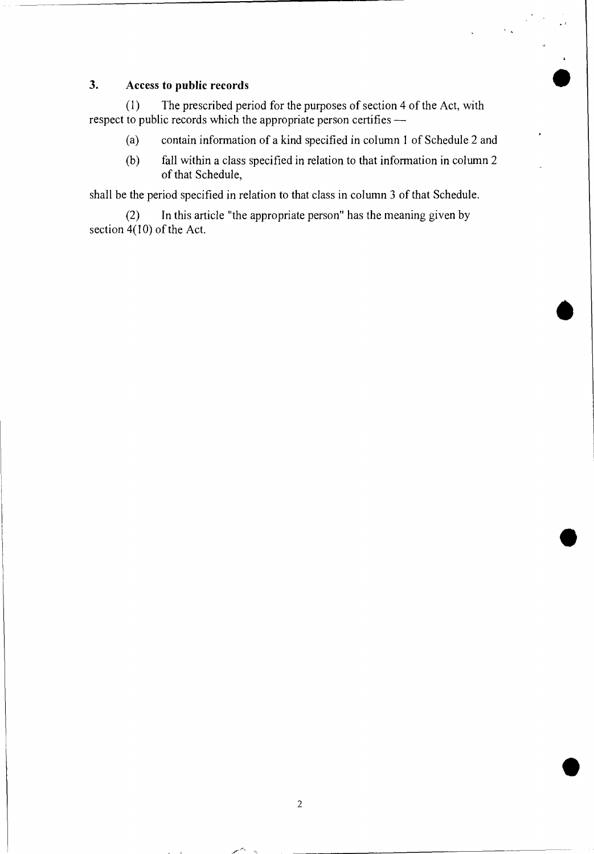# **3.** Access to public records

(1) The prescribed period for the purposes of section 4 of the Act, with respect to public records which the appropriate person certifies —

- (a) contain information of a kind specified in column 1 of Schedule 2 and
- (b) fall within a class specified in relation to that information in column 2 of that Schedule,

shall be the period specified in relation to that class in column 3 of that Schedule.

(2) In this article "the appropriate person" has the meaning given by section  $4(10)$  of the Act.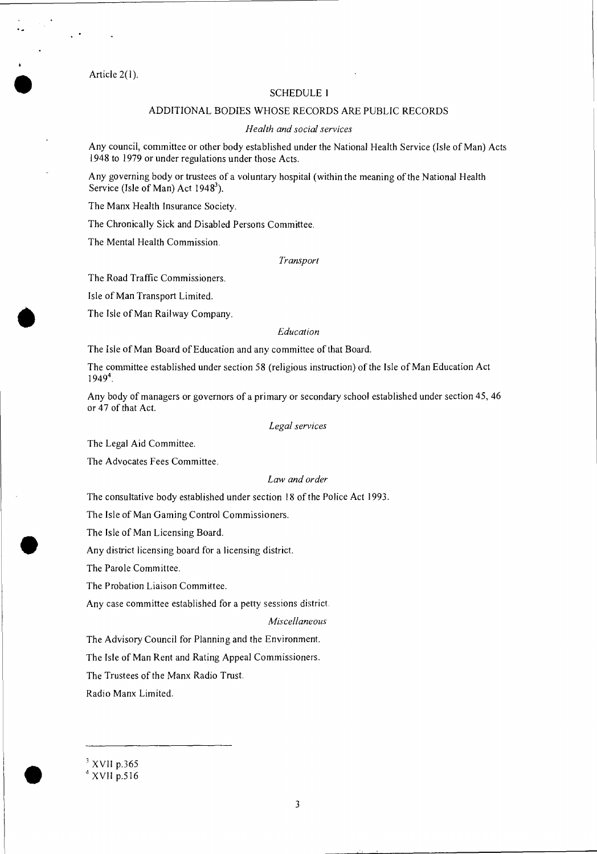Article 2(1).

 $\mathbb{R}^{\mathbb{Z}}$ 

#### SCHEDULE I

#### ADDITIONAL BODIES WHOSE RECORDS ARE PUBLIC RECORDS

#### *Health and social services*

Any council, committee or other body established under the National Health Service (Isle of Man) Acts 1948 to 1979 or under regulations under those Acts.

Any governing body or trustees of a voluntary hospital (within the meaning of the National Health Service (Isle of Man) Act  $1948^3$ ).

The Manx Health Insurance Society.

The Chronically Sick and Disabled Persons Committee.

The Mental Health Commission.

#### *Transport*

The Road Traffic Commissioners.

Isle of Man Transport Limited.

The Isle of Man Railway Company.

#### *Education*

The Isle of Man Board of Education and any committee of that Board.

The committee established under section 58 (religious instruction) of the Isle of Man Education Act 1949<sup>4</sup>.

Any body of managers or governors of a primary or secondary school established under section 45, 46 or 47 of that Act.

#### *Legal services*

The Legal Aid Committee.

The Advocates Fees Committee.

#### *Law and order*

The consultative body established under section 18 of the Police Act 1993.

The Isle of Man Gaming Control Commissioners.

The Isle of Man Licensing Board.

Any district licensing board for a licensing district.

The Parole Committee.

The Probation Liaison Committee.

Any case committee established for a petty sessions district.

*Miscellaneous* 

The Advisory Council for Planning and the Environment.

The Isle of Man Rent and Rating Appeal Commissioners.

The Trustees of the Manx Radio Trust.

Radio Manx Limited.

 $3$  XVII p.365

 $4$  XVII p.516

ا<br>ا

•

•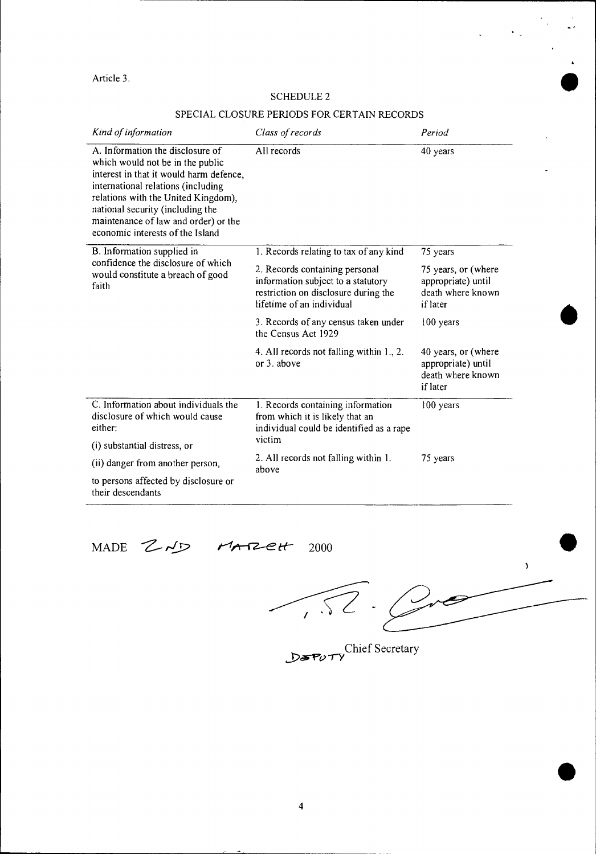# Article 3.<br>SCHEDULE 2 SCHEDULE 2

# SPECIAL CLOSURE PERIODS FOR CERTAIN RECORDS

| Kind of information                                                                                                                                                                                                                                                                                          | Class of records                                                                                                                                                            | Period                                                                     |
|--------------------------------------------------------------------------------------------------------------------------------------------------------------------------------------------------------------------------------------------------------------------------------------------------------------|-----------------------------------------------------------------------------------------------------------------------------------------------------------------------------|----------------------------------------------------------------------------|
| A. Information the disclosure of<br>which would not be in the public<br>interest in that it would harm defence,<br>international relations (including<br>relations with the United Kingdom),<br>national security (including the<br>maintenance of law and order) or the<br>economic interests of the Island | All records                                                                                                                                                                 | 40 years                                                                   |
| B. Information supplied in<br>confidence the disclosure of which<br>would constitute a breach of good<br>faith                                                                                                                                                                                               | 1. Records relating to tax of any kind                                                                                                                                      | 75 years                                                                   |
|                                                                                                                                                                                                                                                                                                              | 2. Records containing personal<br>information subject to a statutory<br>restriction on disclosure during the<br>lifetime of an individual                                   | 75 years, or (where<br>appropriate) until<br>death where known<br>if later |
|                                                                                                                                                                                                                                                                                                              | 3. Records of any census taken under<br>the Census Act 1929                                                                                                                 | 100 years                                                                  |
|                                                                                                                                                                                                                                                                                                              | 4. All records not falling within 1., 2.<br>or 3. above                                                                                                                     | 40 years, or (where<br>appropriate) until<br>death where known<br>if later |
| C. Information about individuals the<br>disclosure of which would cause<br>either:                                                                                                                                                                                                                           | 1. Records containing information<br>from which it is likely that an<br>individual could be identified as a rape<br>victim<br>2. All records not falling within 1.<br>above | 100 years<br>75 years                                                      |
| (i) substantial distress, or                                                                                                                                                                                                                                                                                 |                                                                                                                                                                             |                                                                            |
| (ii) danger from another person,                                                                                                                                                                                                                                                                             |                                                                                                                                                                             |                                                                            |
| to persons affected by disclosure or<br>their descendants                                                                                                                                                                                                                                                    |                                                                                                                                                                             |                                                                            |

# MADE  $Z \sim P$   $M \sim R2eH$  2000

•

•

 $\boldsymbol{\lambda}$ 

*-r-y*  Chief Secretary